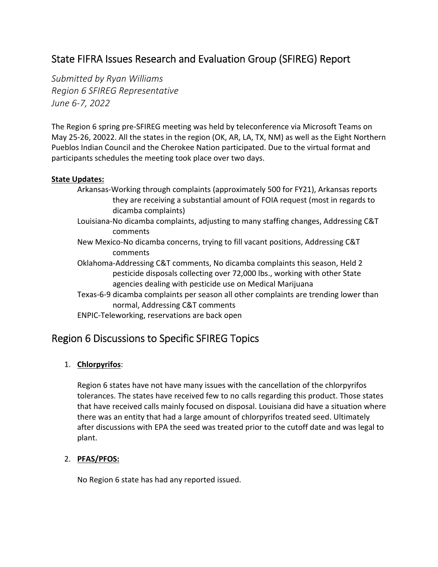# State FIFRA Issues Research and Evaluation Group (SFIREG) Report

*Submitted by Ryan Williams Region 6 SFIREG Representative June 6‐7, 2022* 

The Region 6 spring pre‐SFIREG meeting was held by teleconference via Microsoft Teams on May 25‐26, 20022. All the states in the region (OK, AR, LA, TX, NM) as well as the Eight Northern Pueblos Indian Council and the Cherokee Nation participated. Due to the virtual format and participants schedules the meeting took place over two days.

#### **State Updates:**

- Arkansas‐Working through complaints (approximately 500 for FY21), Arkansas reports they are receiving a substantial amount of FOIA request (most in regards to dicamba complaints)
- Louisiana‐No dicamba complaints, adjusting to many staffing changes, Addressing C&T comments
- New Mexico‐No dicamba concerns, trying to fill vacant positions, Addressing C&T comments
- Oklahoma‐Addressing C&T comments, No dicamba complaints this season, Held 2 pesticide disposals collecting over 72,000 lbs., working with other State agencies dealing with pesticide use on Medical Marijuana
- Texas‐6‐9 dicamba complaints per season all other complaints are trending lower than normal, Addressing C&T comments
- ENPIC‐Teleworking, reservations are back open

# Region 6 Discussions to Specific SFIREG Topics

# 1. **Chlorpyrifos**:

Region 6 states have not have many issues with the cancellation of the chlorpyrifos tolerances. The states have received few to no calls regarding this product. Those states that have received calls mainly focused on disposal. Louisiana did have a situation where there was an entity that had a large amount of chlorpyrifos treated seed. Ultimately after discussions with EPA the seed was treated prior to the cutoff date and was legal to plant.

# 2. **PFAS/PFOS:**

No Region 6 state has had any reported issued.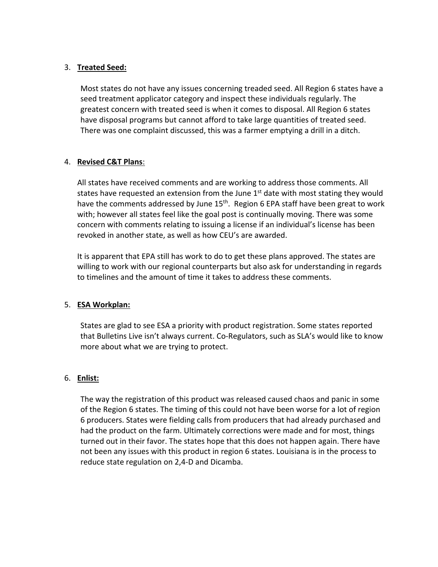### 3. **Treated Seed:**

Most states do not have any issues concerning treaded seed. All Region 6 states have a seed treatment applicator category and inspect these individuals regularly. The greatest concern with treated seed is when it comes to disposal. All Region 6 states have disposal programs but cannot afford to take large quantities of treated seed. There was one complaint discussed, this was a farmer emptying a drill in a ditch.

# 4. **Revised C&T Plans**:

All states have received comments and are working to address those comments. All states have requested an extension from the June  $1<sup>st</sup>$  date with most stating they would have the comments addressed by June 15<sup>th</sup>. Region 6 EPA staff have been great to work with; however all states feel like the goal post is continually moving. There was some concern with comments relating to issuing a license if an individual's license has been revoked in another state, as well as how CEU's are awarded.

It is apparent that EPA still has work to do to get these plans approved. The states are willing to work with our regional counterparts but also ask for understanding in regards to timelines and the amount of time it takes to address these comments.

# 5. **ESA Workplan:**

States are glad to see ESA a priority with product registration. Some states reported that Bulletins Live isn't always current. Co‐Regulators, such as SLA's would like to know more about what we are trying to protect.

# 6. **Enlist:**

The way the registration of this product was released caused chaos and panic in some of the Region 6 states. The timing of this could not have been worse for a lot of region 6 producers. States were fielding calls from producers that had already purchased and had the product on the farm. Ultimately corrections were made and for most, things turned out in their favor. The states hope that this does not happen again. There have not been any issues with this product in region 6 states. Louisiana is in the process to reduce state regulation on 2,4‐D and Dicamba.